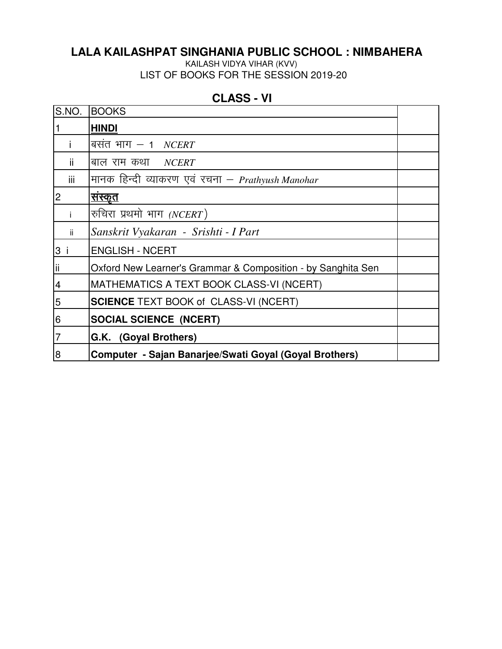## **LALA KAILASHPAT SINGHANIA PUBLIC SCHOOL : NIMBAHERA**

KAILASH VIDYA VIHAR (KVV) LIST OF BOOKS FOR THE SESSION 2019-20

| S.NO. | <b>BOOKS</b>                                                 |  |
|-------|--------------------------------------------------------------|--|
|       | <b>HINDI</b>                                                 |  |
|       | बसंत भाग $-$ 1 <i>NCERT</i>                                  |  |
| ii.   | बाल राम कथा $NCERT$                                          |  |
| iii   | मानक हिन्दी व्याकरण एवं रचना – Prathyush Manohar             |  |
| 2     | <u>सस्कृत</u>                                                |  |
|       | रुचिरा प्रथमो भाग (NCERT)                                    |  |
| ii.   | Sanskrit Vyakaran - Srishti - I Part                         |  |
| 3 i   | <b>ENGLISH - NCERT</b>                                       |  |
|       | Oxford New Learner's Grammar & Composition - by Sanghita Sen |  |
| 4     | MATHEMATICS A TEXT BOOK CLASS-VI (NCERT)                     |  |
| 5     | <b>SCIENCE TEXT BOOK of CLASS-VI (NCERT)</b>                 |  |
| 6     | <b>SOCIAL SCIENCE (NCERT)</b>                                |  |
|       | G.K. (Goyal Brothers)                                        |  |
| 8     | Computer - Sajan Banarjee/Swati Goyal (Goyal Brothers)       |  |

## **CLASS - VI**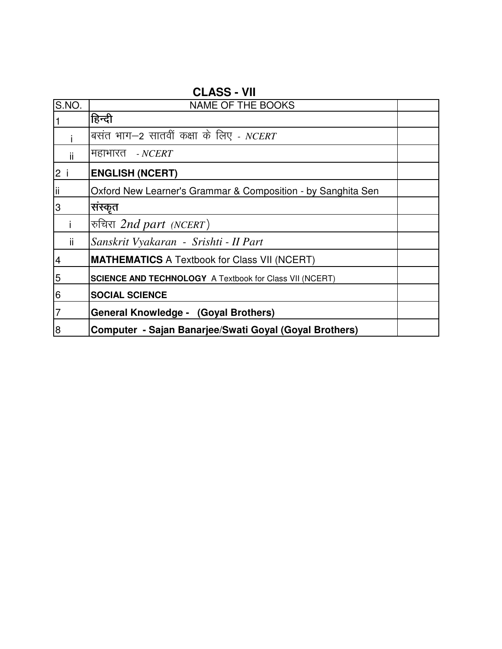| S.NO.          | <b>NAME OF THE BOOKS</b>                                       |  |
|----------------|----------------------------------------------------------------|--|
|                | हिन्दी                                                         |  |
|                | बसंत भाग–2 सातवीं कक्षा के लिए - NCERT                         |  |
| ii             | महाभारत <i>- NCERT</i>                                         |  |
| 2 i            | <b>ENGLISH (NCERT)</b>                                         |  |
| Ϊi             | Oxford New Learner's Grammar & Composition - by Sanghita Sen   |  |
| 3              | संस्कृत                                                        |  |
|                | रुचिरा 2nd part (NCERT)                                        |  |
| ii.            | Sanskrit Vyakaran - Srishti - II Part                          |  |
| $\overline{4}$ | <b>MATHEMATICS</b> A Textbook for Class VII (NCERT)            |  |
| 5              | <b>SCIENCE AND TECHNOLOGY A Textbook for Class VII (NCERT)</b> |  |
| 6              | <b>SOCIAL SCIENCE</b>                                          |  |
| 7              | General Knowledge - (Goyal Brothers)                           |  |
| 8              | Computer - Sajan Banarjee/Swati Goyal (Goyal Brothers)         |  |

**CLASS - VII**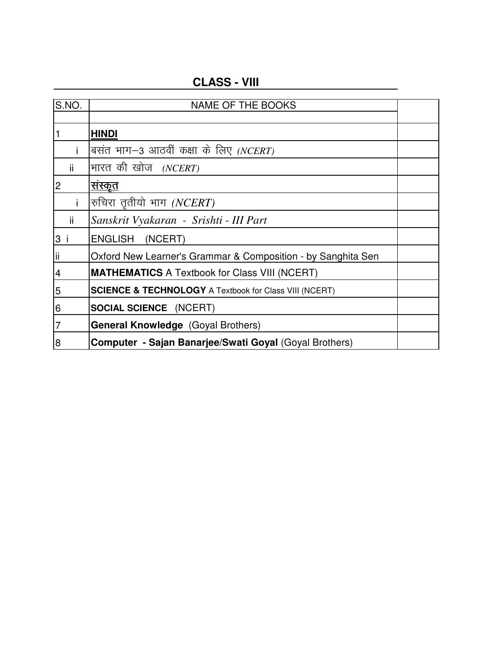| S.NO.          | <b>NAME OF THE BOOKS</b>                                          |  |
|----------------|-------------------------------------------------------------------|--|
|                |                                                                   |  |
| $\vert$ 1      | <b>HINDI</b>                                                      |  |
|                | बसंत भाग–3 आठवीं कक्षा के लिए <i>(NCERT)</i>                      |  |
| ii.            | भारत की खोज <i>(NCERT)</i>                                        |  |
| $\overline{c}$ | <u>संस्कृत</u>                                                    |  |
|                | रुचिरा तृतीयो भाग (NCERT)                                         |  |
| ji.            | Sanskrit Vyakaran - Srishti - III Part                            |  |
| 3 i            | <b>ENGLISH</b><br>(NCERT)                                         |  |
| lii            | Oxford New Learner's Grammar & Composition - by Sanghita Sen      |  |
| $\overline{4}$ | <b>MATHEMATICS</b> A Textbook for Class VIII (NCERT)              |  |
| 5              | <b>SCIENCE &amp; TECHNOLOGY A Textbook for Class VIII (NCERT)</b> |  |
| 6              | <b>SOCIAL SCIENCE</b> (NCERT)                                     |  |
| $\overline{7}$ | <b>General Knowledge</b> (Goyal Brothers)                         |  |
| 8              | Computer - Sajan Banarjee/Swati Goyal (Goyal Brothers)            |  |

**CLASS - VIII**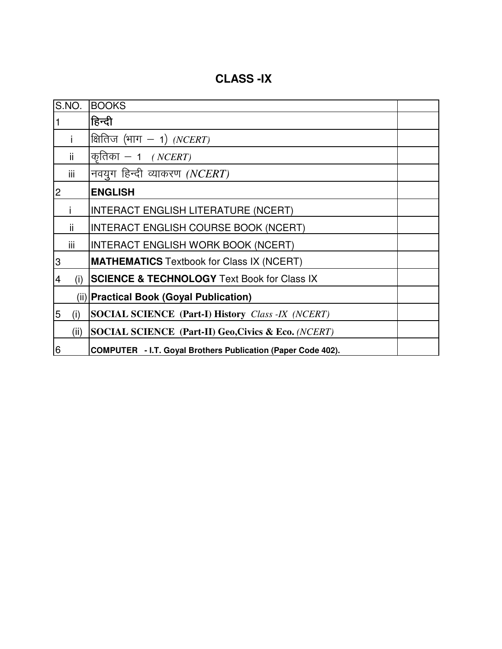**CLASS -IX**

| S.NO.          | <b>BOOKS</b>                                                 |  |
|----------------|--------------------------------------------------------------|--|
|                | हिन्दी                                                       |  |
|                | क्षितिज $(4\pi - 1)$ ( <i>NCERT</i> )                        |  |
| ii.            | कृतिका — 1 <i>(NCERT)</i>                                    |  |
| iii            | नवयुग हिन्दी व्याकरण (NCERT)                                 |  |
| $\overline{2}$ | <b>ENGLISH</b>                                               |  |
|                | <b>INTERACT ENGLISH LITERATURE (NCERT)</b>                   |  |
| ii.            | <b>INTERACT ENGLISH COURSE BOOK (NCERT)</b>                  |  |
| iii            | <b>INTERACT ENGLISH WORK BOOK (NCERT)</b>                    |  |
| 3              | <b>MATHEMATICS</b> Textbook for Class IX (NCERT)             |  |
| (i)<br>4       | <b>SCIENCE &amp; TECHNOLOGY</b> Text Book for Class IX       |  |
|                | (ii) Practical Book (Goyal Publication)                      |  |
| 5<br>(i)       | <b>SOCIAL SCIENCE (Part-I) History Class -IX (NCERT)</b>     |  |
| (ii)           | SOCIAL SCIENCE (Part-II) Geo, Civics & Eco. (NCERT)          |  |
| 6              | COMPUTER - I.T. Goyal Brothers Publication (Paper Code 402). |  |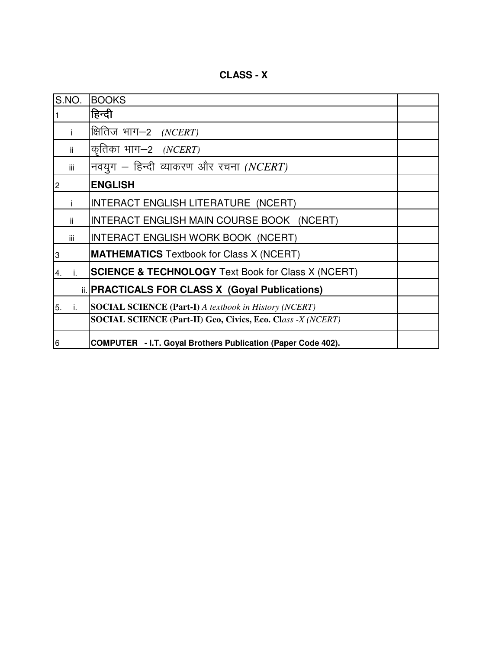S.NO. BOOKS  $1$  हिन्दी i क्षितिज भाग—2 *(NCERT)* ii |कृतिका भाग–2 *(NCERT)* iii | नवयुग – हिन्दी व्याकरण और रचना *(NCERT)* 2 **ENGLISH** i | INTERACT ENGLISH LITERATURE (NCERT) ii INTERACT ENGLISH MAIN COURSE BOOK (NCERT) iii | INTERACT ENGLISH WORK BOOK (NCERT) 3 **MATHEMATICS** Textbook for Class X (NCERT) 4. i. **SCIENCE & TECHNOLOGY** Text Book for Class X (NCERT) ii. **PRACTICALS FOR CLASS X (Goyal Publications)** 5. i. **SOCIAL SCIENCE (Part-I)** *A textbook in History (NCERT)* **SOCIAL SCIENCE (Part-II) Geo, Civics, Eco. Cl***ass -X (NCERT)* 6 **COMPUTER - I.T. Goyal Brothers Publication (Paper Code 402).**

**CLASS - X**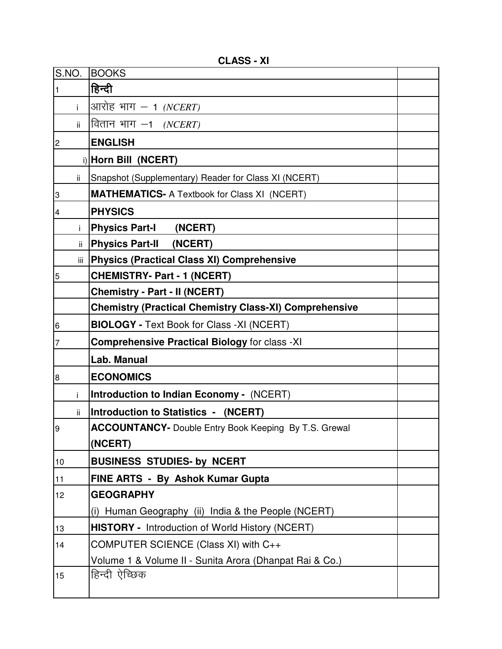| S.NO.                   | <b>BOOKS</b>                                                  |  |
|-------------------------|---------------------------------------------------------------|--|
| 1                       | हिन्दी                                                        |  |
| i.                      | आरोह भाग $-$ 1 (NCERT)                                        |  |
| ii.                     | वितान भाग $-1$ (NCERT)                                        |  |
| $\overline{c}$          | <b>ENGLISH</b>                                                |  |
|                         | i) Horn Bill (NCERT)                                          |  |
| ii.                     | Snapshot (Supplementary) Reader for Class XI (NCERT)          |  |
| 3                       | <b>MATHEMATICS- A Textbook for Class XI (NCERT)</b>           |  |
| $\overline{\mathbf{4}}$ | <b>PHYSICS</b>                                                |  |
| j.                      | <b>Physics Part-I</b><br>(NCERT)                              |  |
| ii.                     | <b>Physics Part-II</b><br>(NCERT)                             |  |
| iii I                   | <b>Physics (Practical Class XI) Comprehensive</b>             |  |
| 5                       | <b>CHEMISTRY- Part - 1 (NCERT)</b>                            |  |
|                         | <b>Chemistry - Part - II (NCERT)</b>                          |  |
|                         | <b>Chemistry (Practical Chemistry Class-XI) Comprehensive</b> |  |
| $\,$ 6                  | <b>BIOLOGY - Text Book for Class - XI (NCERT)</b>             |  |
| 7                       | <b>Comprehensive Practical Biology for class -XI</b>          |  |
|                         | Lab. Manual                                                   |  |
| $\overline{8}$          | <b>ECONOMICS</b>                                              |  |
| i.                      | <b>Introduction to Indian Economy - (NCERT)</b>               |  |
| ii.                     | <b>Introduction to Statistics - (NCERT)</b>                   |  |
| $\boldsymbol{9}$        | <b>ACCOUNTANCY-</b> Double Entry Book Keeping By T.S. Grewal  |  |
|                         | (NCERT)                                                       |  |
| 10                      | <b>BUSINESS STUDIES- by NCERT</b>                             |  |
| 11                      | FINE ARTS - By Ashok Kumar Gupta                              |  |
| 12                      | <b>GEOGRAPHY</b>                                              |  |
|                         | (i) Human Geography (ii) India & the People (NCERT)           |  |
| 13                      | <b>HISTORY</b> - Introduction of World History (NCERT)        |  |
| 14                      | COMPUTER SCIENCE (Class XI) with C++                          |  |
|                         | Volume 1 & Volume II - Sunita Arora (Dhanpat Rai & Co.)       |  |
| 15                      | हिन्दी ऐच्छिक                                                 |  |
|                         |                                                               |  |

**CLASS - XI**